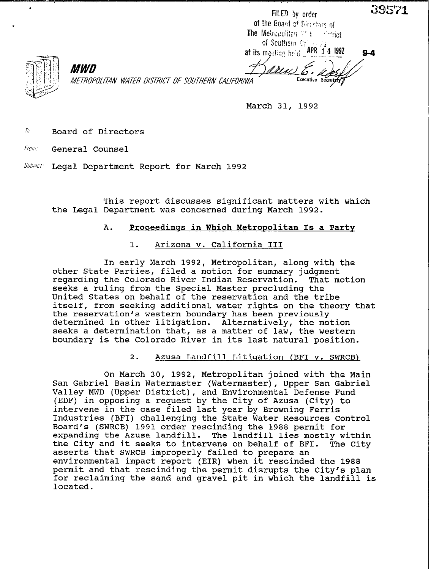|                                                    | FILED by order                                            |  |
|----------------------------------------------------|-----------------------------------------------------------|--|
|                                                    | of the Board of Eurephins of                              |  |
|                                                    | The Metropolitan Milton Metrict                           |  |
|                                                    | of Southern Call and 3<br>at its meeting held RPR 14 1992 |  |
|                                                    |                                                           |  |
| <i>MWD</i>                                         | and the first factor of the factor                        |  |
| METROPOLITAN WATER DISTRICT OF SOUTHERN CALIFORNIA | Executive Secretary<br>70                                 |  |

March 31, 1992

 $\sqrt[h]{\phantom{\pmb{\mathcal{F}}}}$  Board of Directors

Fron: General Counsel

Subiect: Legal Department Report for March 1992

This report discusses significant matters with which the Legal Department was concerned during March 1992.

### A. Proceedings in Which Metropolitan Is a Party

### 1. Arizona v. California III

In early March 1992, Metropolitan, along with the other State Parties, filed a motion for summary judgment regarding the Colorado River Indian Reservation. That motion seeks a ruling from the Special Master precluding the United States on behalf of the reservation and the tribe itself, from seeking additional water rights on the theory that the reservation's western boundary has been previously determined in other litigation. Alternatively, the motion seeks a determination that, as a matter of law, the western boundary is the Colorado River in its last natural position.

#### 2. Azusa Landfill Litiqation (BFI v. SWRCB)

On March 30, 1992, Metropolitan joined with the Main San Gabriel Basin Watermaster (Watermaster), Upper San Gabriel Valley MWD (Upper District), and Environmental Defense Fund (EDF) in opposing a request by the City of Azusa (City) to intervene in the case filed last year by Browning Ferris Industries (BFI) challenging the State Water Resources Control Board's (SWRCB) 1991 order rescinding the 1988 permit for expanding the Azusa landfill. The landfill lies mostly within the City and it seeks to intervene on behalf of BFI. The City asserts that SWRCB improperly failed to prepare an environmental impact report (EIR) when it rescinded the 1988 permit and that rescinding the permit disrupts the City's plan for reclaiming the sand and gravel pit in which the landfill is located.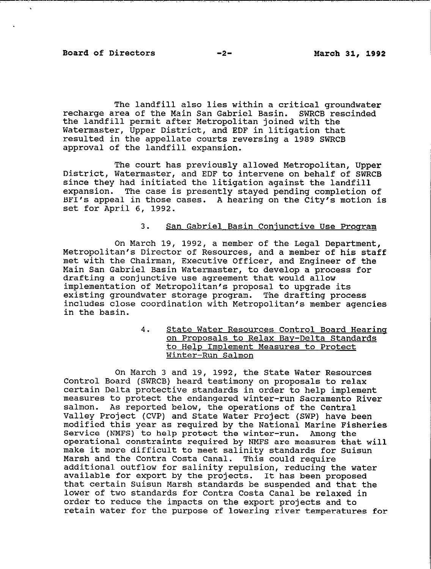The landfill also lies within a critical groundwater recharge area of the Main San Gabriel Basin. SWRCB rescinded the landfill permit after Metropolitan joined with the Watermaster, Upper District, and EDF in litigation that resulted in the appellate courts reversing a 1989 SWRCB approval of the landfill expansion.

The court has previously allowed Metropolitan, Upper District, Watermaster, and EDF to intervene on behalf of SWRCB since they had initiated the litigation against the landfill expansion. The case is presently stayed pending completion of BFI's appeal in those cases. A hearing on the City's motion is set for April 6, 1992.

# 3. San Gabriel Basin Conjunctive Use Program

On March 19, 1992, a member of the Legal Department, Metropolitan's Director of Resources, and a member of his staff met with the Chairman, Executive Officer, and Engineer of the Main San Gabriel Basin Watermaster, to develop a process for drafting a conjunctive use agreement that would allow implementation of Metropolitan's proposal to upgrade its existing groundwater storage program. The drafting process includes close coordination with Metropolitan's member agencies in the basin.

> 4. State Water Resources Control Board Hearinq on Proposals to Relax Bay-Delta Standards to Help Implement Measures to Protect Winter-Run Salmon

On March 3 and 19, 1992, the State Water Resources Control Board (SWRCB) heard testimony on proposals to relax certain Delta protective standards in order to help implement measures to protect the endangered winter-run Sacramento River salmon. As reported below, the operations of the Central Valley Project (CVP) and State Water Project (SWP) have been modified this year as required by the National Marine Fisheries Service (NMFS) to help protect the winter-run. Among the operational constraints required by NMFS are measures that will make it more difficult to meet salinity standards for Suisun Marsh and the Contra Costa Canal. This could require additional outflow for salinity repulsion, reducing the water available for export by the projects. It has been proposed that certain Suisun Marsh standards be suspended and that the lower of two standards for Contra Costa Canal be relaxed in order to reduce the impacts on the export projects and to retain water for the purpose of lowering river temperatures for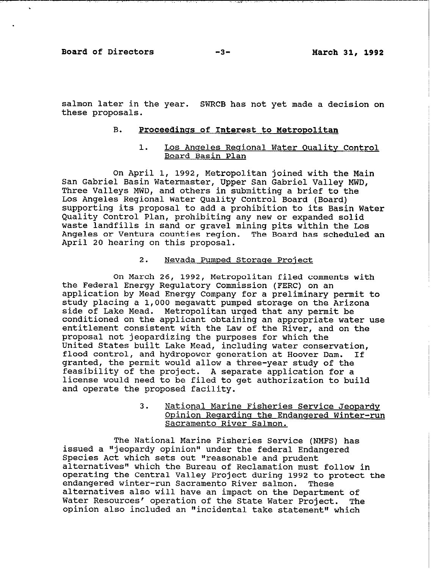**Board of Directors** -3- **March 31, 1992** 

-\_\_-.\_ /.

salmon later in the year. SWRCB has not yet made a decision on these proposals.

### B. Proceedings of Interest to Metropolitan

### 1. Los Angeles Regional Water Quality Control Board Basin Plan

On April 1, 1992, Metropolitan joined with the Main San Gabriel Basin Watermaster, Upper San Gabriel Valley MWD, Three Valleys MWD, and others in submitting a brief to the Los Angeles Regional Water Quality Control Board (Board) supporting its proposal to add a prohibition to its Basin Water Quality Control Plan, prohibiting any new or expanded solid waste landfills in sand or gravel mining pits within the Los Angeles or Ventura counties region. The Board has scheduled an April 20 hearing on this proposal.

### 2. Nevada Pumped Storage Project

On March 26, 1992, Metropolitan filed comments with the Federal Energy Regulatory Commission (FERC) on an application by Mead Energy Company for a preliminary permit to study placing a 1,000 megawatt pumped storage on the Arizona side of Lake Mead. Metropolitan urged that any permit be conditioned on the applicant obtaining an appropriate water use entitlement consistent with the Law of the River, and on the proposal not jeopardizing the purposes for which the United States built Lake Mead, including water conservation, flood control, and hydropower generation at Hoover Dam. If granted, the permit would allow a three-year study of the feasibility of the project. A separate application for a license would need to be filed to get authorization to build and operate the proposed facility.

# 3. National Marine Fisheries Service Jeopardy Opinion Regarding the Endangered Winter-run Sacramento River Salmon.

The National Marine Fisheries Service (NMFS) has issued a "jeopardy opinion" under the federal Endangered Species Act which sets out "reasonable and prudent alternatives" which the Bureau of Reclamation must follow in operating the Central Valley Project during 1992 to protect the endangered winter-run Sacramento River salmon. These alternatives also will have an impact on the Department of Water Resources' operation of the State Water Project. The opinion also included an "incidental take statement" which